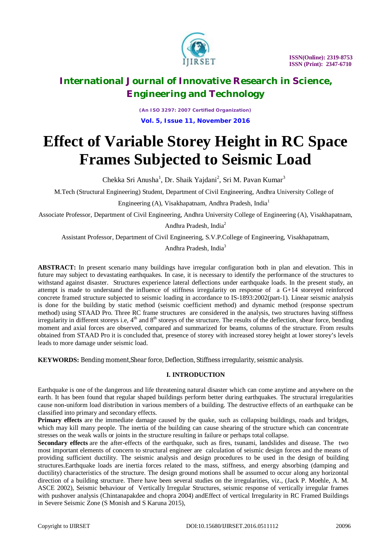

*(An ISO 3297: 2007 Certified Organization)* **Vol. 5, Issue 11, November 2016**

# **Effect of Variable Storey Height in RC Space Frames Subjected to Seismic Load**

Chekka Sri Anusha<sup>1</sup>, Dr. Shaik Yajdani<sup>2</sup>, Sri M. Pavan Kumar<sup>3</sup>

M.Tech (Structural Engineering) Student, Department of Civil Engineering, Andhra University College of

Engineering (A), Visakhapatnam, Andhra Pradesh, India<sup>1</sup>

Associate Professor, Department of Civil Engineering, Andhra University College of Engineering (A), Visakhapatnam,

Andhra Pradesh, India<sup>2</sup>

Assistant Professor, Department of Civil Engineering, S.V.P.College of Engineering, Visakhapatnam,

Andhra Pradesh, India<sup>3</sup>

**ABSTRACT:** In present scenario many buildings have irregular configuration both in plan and elevation. This in future may subject to devastating earthquakes. In case, it is necessary to identify the performance of the structures to withstand against disaster. Structures experience lateral deflections under earthquake loads. In the present study, an attempt is made to understand the influence of stiffness irregularity on response of a G+14 storeyed reinforced concrete framed structure subjected to seismic loading in accordance to IS-1893:2002(part-1). Linear seismic analysis is done for the building by static method (seismic coefficient method) and dynamic method (response spectrum method) using STAAD Pro. Three RC frame structures are considered in the analysis, two structures having stiffness irregularity in different storeys i.e,  $4<sup>th</sup>$  and  $8<sup>th</sup>$  storeys of the structure. The results of the deflection, shear force, bending moment and axial forces are observed, compared and summarized for beams, columns of the structure. From results obtained from STAAD Pro it is concluded that, presence of storey with increased storey height at lower storey's levels leads to more damage under seismic load.

**KEYWORDS:** Bending moment,Shear force, Deflection, Stiffness irregularity, seismic analysis.

## **I. INTRODUCTION**

Earthquake is one of the dangerous and life threatening natural disaster which can come anytime and anywhere on the earth. It has been found that regular shaped buildings perform better during earthquakes. The structural irregularities cause non-uniform load distribution in various members of a building. The destructive effects of an earthquake can be classified into primary and secondary effects.

**Primary effects** are the immediate damage caused by the quake, such as collapsing buildings, roads and bridges, which may kill many people. The inertia of the building can cause shearing of the structure which can concentrate stresses on the weak walls or joints in the structure resulting in failure or perhaps total collapse.

**Secondary effects** are the after-effects of the earthquake, such as fires, tsunami, landslides and disease. The two most important elements of concern to structural engineer are calculation of seismic design forces and the means of providing sufficient ductility. The seismic analysis and design procedures to be used in the design of building structures.Earthquake loads are inertia forces related to the mass, stiffness, and energy absorbing (damping and ductility) characteristics of the structure. The design ground motions shall be assumed to occur along any horizontal direction of a building structure. There have been several studies on the irregularities, viz., (Jack P. Moehle, A. M. ASCE 2002), Seismic behaviour of Vertically Irregular Structures, seismic response of vertically irregular frames with pushover analysis (Chintanapakdee and chopra 2004) andEffect of vertical Irregularity in RC Framed Buildings in Severe Seismic Zone (S Monish and S Karuna 2015),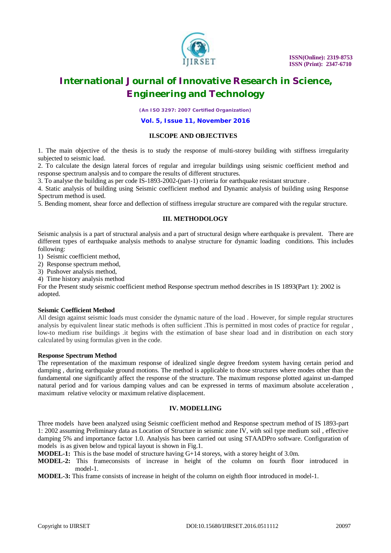

*(An ISO 3297: 2007 Certified Organization)*

#### **Vol. 5, Issue 11, November 2016**

### **II.SCOPE AND OBJECTIVES**

1. The main objective of the thesis is to study the response of multi-storey building with stiffness irregularity subjected to seismic load.

2. To calculate the design lateral forces of regular and irregular buildings using seismic coefficient method and response spectrum analysis and to compare the results of different structures.

3. To analyse the building as per code IS-1893-2002-(part-1) criteria for earthquake resistant structure .

4. Static analysis of building using Seismic coefficient method and Dynamic analysis of building using Response Spectrum method is used.

5. Bending moment, shear force and deflection of stiffness irregular structure are compared with the regular structure.

#### **III. METHODOLOGY**

Seismic analysis is a part of structural analysis and a part of structural design where earthquake is prevalent. There are different types of earthquake analysis methods to analyse structure for dynamic loading conditions. This includes following:

1) Seismic coefficient method,

2) Response spectrum method,

3) Pushover analysis method,

4) Time history analysis method

For the Present study seismic coefficient method Response spectrum method describes in IS 1893(Part 1): 2002 is adopted.

### **Seismic Coefficient Method**

All design against seismic loads must consider the dynamic nature of the load . However, for simple regular structures analysis by equivalent linear static methods is often sufficient .This is permitted in most codes of practice for regular , low-to medium rise buildings .it begins with the estimation of base shear load and in distribution on each story calculated by using formulas given in the code.

#### **Response Spectrum Method**

The representation of the maximum response of idealized single degree freedom system having certain period and damping , during earthquake ground motions. The method is applicable to those structures where modes other than the fundamental one significantly affect the response of the structure. The maximum response plotted against un-damped natural period and for various damping values and can be expressed in terms of maximum absolute acceleration , maximum relative velocity or maximum relative displacement.

#### **IV. MODELLING**

Three models have been analyzed using Seismic coefficient method and Response spectrum method of IS 1893-part 1: 2002 assuming Preliminary data as Location of Structure in seismic zone IV, with soil type medium soil , effective damping 5% and importance factor 1.0. Analysis has been carried out using STAADPro software. Configuration of models is as given below and typical layout is shown in Fig.1.

**MODEL-1:** This is the base model of structure having G+14 storeys, with a storey height of 3.0m.

**MODEL-2:** This frameconsists of increase in height of the column on fourth floor introduced in model-1.

**MODEL-3:** This frame consists of increase in height of the column on eighth floor introduced in model-1.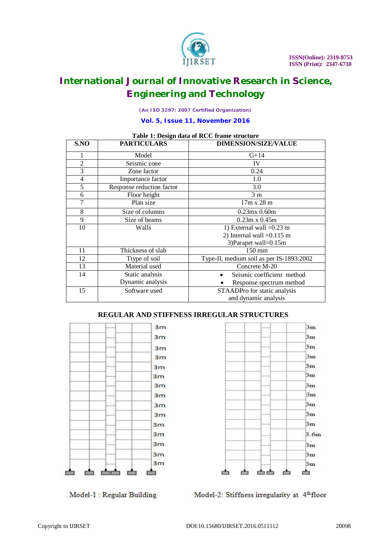

*(An ISO 3297: 2007 Certified Organization)*

### **Vol. 5, Issue 11, November 2016**

| Table 1: Design data of NCC if alle structure |                           |                                          |  |  |  |
|-----------------------------------------------|---------------------------|------------------------------------------|--|--|--|
| S.NO                                          | <b>PARTICULARS</b>        | <b>DIMENSION/SIZE/VALUE</b>              |  |  |  |
| 1                                             | Model                     | $G+14$                                   |  |  |  |
| $\overline{c}$                                | Seismic zone              | IV                                       |  |  |  |
| 3                                             | Zone factor               | 0.24                                     |  |  |  |
| $\overline{4}$                                | Importance factor         | 1.0                                      |  |  |  |
| 5                                             | Response reduction factor | 3.0                                      |  |  |  |
| 6                                             | Floor height              | 3 <sub>m</sub>                           |  |  |  |
| 7                                             | Plan size                 | $17m \times 28m$                         |  |  |  |
| 8                                             | Size of columns           | $0.23mx$ $0.60m$                         |  |  |  |
| 9                                             | Size of beams             | $0.23m \times 0.45m$                     |  |  |  |
| 10                                            | Walls                     | 1) External wall $=0.23$ m               |  |  |  |
|                                               |                           | 2) Internal wall $=0.115$ m              |  |  |  |
|                                               |                           | 3) Parapet wall=0.15m                    |  |  |  |
| 11                                            | Thickness of slab         | $150 \text{ mm}$                         |  |  |  |
| 12                                            | Ttype of soil             | Type-II, medium soil as per IS-1893:2002 |  |  |  |
| 13                                            | Material used             | Concrete M-20                            |  |  |  |
| 14                                            | Static analysis           | Seismic coefficient method               |  |  |  |
|                                               | Dynamic analysis          | Response spectrum method                 |  |  |  |
| 15                                            | Software used             | STAADPro for static analysis             |  |  |  |
|                                               |                           | and dynamic analysis                     |  |  |  |

# **Table 1: Design data of RCC frame structure**

# **REGULAR AND STIFFNESS IRREGULAR STRUCTURES**





Model-1 : Regular Building

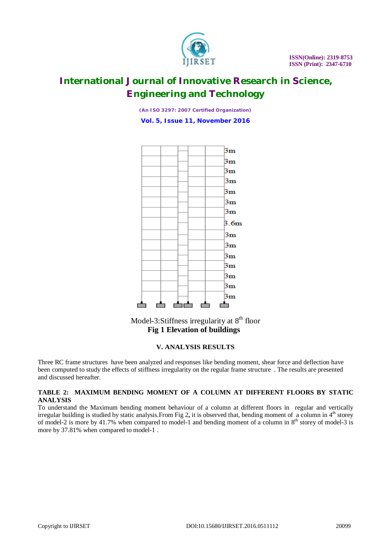

*(An ISO 3297: 2007 Certified Organization)*

**Vol. 5, Issue 11, November 2016**



Model-3:Stiffness irregularity at 8<sup>th</sup> floor **Fig 1 Elevation of buildings**

## **V. ANALYSIS RESULTS**

Three RC frame structures have been analyzed and responses like bending moment, shear force and deflection have been computed to study the effects of stiffness irregularity on the regular frame structure . The results are presented and discussed hereafter.

### **TABLE 2: MAXIMUM BENDING MOMENT OF A COLUMN AT DIFFERENT FLOORS BY STATIC ANALYSIS**

To understand the Maximum bending moment behaviour of a column at different floors in regular and vertically irregular building is studied by static analysis. From Fig 2, it is observed that, bending moment of a column in  $4<sup>th</sup>$  storey of model-2 is more by 41.7% when compared to model-1 and bending moment of a column in  $8<sup>th</sup>$  storey of model-3 is more by 37.81% when compared to model-1 .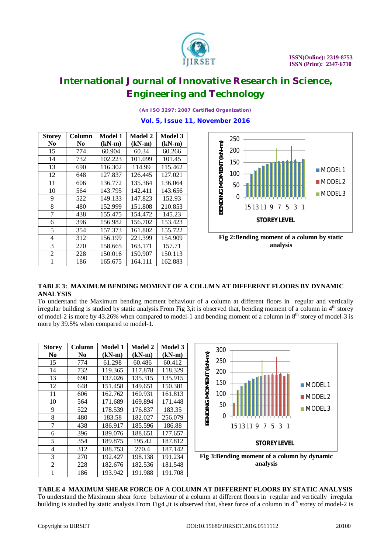

*(An ISO 3297: 2007 Certified Organization)*

#### **Vol. 5, Issue 11, November 2016**

| <b>Storey</b>  | Column         | Model 1  | Model 2  | <b>Model 3</b> |
|----------------|----------------|----------|----------|----------------|
| N0             | N <sub>0</sub> | $(kN-m)$ | $(kN-m)$ | $(kN-m)$       |
| 15             | 774            | 60.904   | 60.34    | 60.266         |
| 14             | 732            | 102.223  | 101.099  | 101.45         |
| 13             | 690            | 116.302  | 114.99   | 115.462        |
| 12             | 648            | 127.837  | 126.445  | 127.021        |
| 11             | 606            | 136.772  | 135.364  | 136.064        |
| 10             | 564            | 143.795  | 142.411  | 143.656        |
| 9              | 522            | 149.133  | 147.823  | 152.93         |
| 8              | 480            | 152.999  | 151.808  | 210.853        |
| 7              | 438            | 155.475  | 154.472  | 145.23         |
| 6              | 396            | 156.982  | 156.702  | 153.423        |
| 5              | 354            | 157.373  | 161.802  | 155.722        |
| $\overline{4}$ | 312            | 156.199  | 221.399  | 154.909        |
| 3              | 270            | 158.665  | 163.171  | 157.71         |
| $\overline{2}$ | 228            | 150.016  | 150.907  | 150.113        |
| 1              | 186            | 165.675  | 164.111  | 162.883        |





### **TABLE 3: MAXIMUM BENDING MOMENT OF A COLUMN AT DIFFERENT FLOORS BY DYNAMIC ANALYSIS**

To understand the Maximum bending moment behaviour of a column at different floors in regular and vertically irregular building is studied by static analysis. From Fig 3, it is observed that, bending moment of a column in 4<sup>th</sup> storey of model-2 is more by  $43.26\%$  when compared to model-1 and bending moment of a column in  $8<sup>th</sup>$  storey of model-3 is more by 39.5% when compared to model-1.

| <b>Storey</b>  | Column         | Model 1  | Model 2  | Model 3  |
|----------------|----------------|----------|----------|----------|
| N <sub>0</sub> | N <sub>0</sub> | $(kN-m)$ | $(kN-m)$ | $(kN-m)$ |
| 15             | 774            | 61.298   | 60.486   | 60.412   |
| 14             | 732            | 119.365  | 117.878  | 118.329  |
| 13             | 690            | 137.026  | 135.315  | 135.915  |
| 12             | 648            | 151.458  | 149.651  | 150.381  |
| 11             | 606            | 162.762  | 160.931  | 161.813  |
| 10             | 564            | 171.689  | 169.894  | 171.448  |
| 9              | 522            | 178.539  | 176.837  | 183.35   |
| 8              | 480            | 183.58   | 182.027  | 256.079  |
| 7              | 438            | 186.917  | 185.596  | 186.88   |
| 6              | 396            | 189.076  | 188.651  | 177.657  |
| 5              | 354            | 189.875  | 195.42   | 187.812  |
| 4              | 312            | 188.753  | 270.4    | 187.142  |
| 3              | 270            | 192.427  | 198.138  | 191.234  |
| $\overline{2}$ | 228            | 182.676  | 182.536  | 181.548  |
| 1              | 186            | 193.942  | 191.988  | 191.708  |



**Fig 3:Bending moment of a column by dynamic analysis**

## **TABLE 4 MAXIMUM SHEAR FORCE OF A COLUMN AT DIFFERENT FLOORS BY STATIC ANALYSIS** To understand the Maximum shear force behaviour of a column at different floors in regular and vertically irregular building is studied by static analysis.From Fig4 ,it is observed that, shear force of a column in 4<sup>th</sup> storey of model-2 is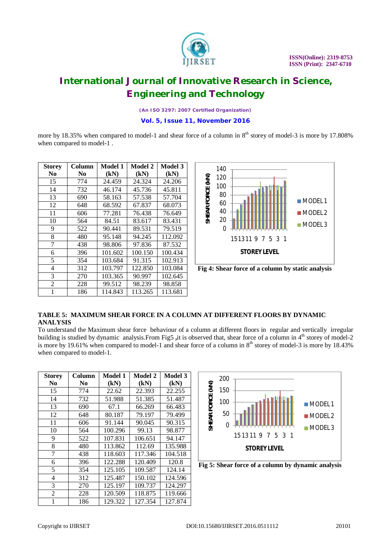

*(An ISO 3297: 2007 Certified Organization)*

### **Vol. 5, Issue 11, November 2016**

more by 18.35% when compared to model-1 and shear force of a column in  $8<sup>th</sup>$  storey of model-3 is more by 17.808% when compared to model-1 .

| <b>Storey</b>  | Column         | Model 1 | Model 2 | Model 3 |
|----------------|----------------|---------|---------|---------|
| No             | N <sub>0</sub> | (kN)    | (kN)    | (kN)    |
| 15             | 774            | 24.459  | 24.324  | 24.206  |
| 14             | 732            | 46.174  | 45.736  | 45.811  |
| 13             | 690            | 58.163  | 57.538  | 57.704  |
| 12             | 648            | 68.592  | 67.837  | 68.073  |
| 11             | 606            | 77.281  | 76.438  | 76.649  |
| 10             | 564            | 84.51   | 83.617  | 83.431  |
| 9              | 522            | 90.441  | 89.531  | 79.519  |
| 8              | 480            | 95.148  | 94.245  | 112.092 |
| 7              | 438            | 98.806  | 97.836  | 87.532  |
| 6              | 396            | 101.602 | 100.150 | 100.434 |
| 5              | 354            | 103.684 | 91.315  | 102.913 |
| $\overline{4}$ | 312            | 103.797 | 122.850 | 103.084 |
| 3              | 270            | 103.365 | 90.997  | 102.645 |
| $\overline{2}$ | 228            | 99.512  | 98.239  | 98.858  |
| 1              | 186            | 114.843 | 113.265 | 113.681 |



**Fig 4: Shear force of a column by static analysis**

### **TABLE 5: MAXIMUM SHEAR FORCE IN A COLUMN AT DIFFERENT FLOORS BY DYNAMIC ANALYSIS**

To understand the Maximum shear force behaviour of a column at different floors in regular and vertically irregular building is studied by dynamic analysis.From Fig5 ,it is observed that, shear force of a column in 4<sup>th</sup> storey of model-2 is more by 19.61% when compared to model-1 and shear force of a column in  $8<sup>th</sup>$  storey of model-3 is more by 18.43% when compared to model-1.

| <b>Storey</b>  | Column         | <b>Model 1</b> | <b>Model 2</b> | Model 3 |
|----------------|----------------|----------------|----------------|---------|
| N <sub>0</sub> | N <sub>0</sub> | (kN)           | (kN)           | (kN)    |
| 15             | 774            | 22.62          | 22.393         | 22.255  |
| 14             | 732            | 51.988         | 51.385         | 51.487  |
| 13             | 690            | 67.1           | 66.269         | 66.483  |
| 12             | 648            | 80.187         | 79.197         | 79.499  |
| 11             | 606            | 91.144         | 90.045         | 90.315  |
| 10             | 564            | 100.296        | 99.13          | 98.877  |
| 9              | 522            | 107.831        | 106.651        | 94.147  |
| 8              | 480            | 113.862        | 112.69         | 135.988 |
| 7              | 438            | 118.603        | 117.346        | 104.518 |
| 6              | 396            | 122.288        | 120.409        | 120.8   |
| 5              | 354            | 125.105        | 109.587        | 124.14  |
| 4              | 312            | 125.487        | 150.102        | 124.596 |
| 3              | 270            | 125.197        | 109.737        | 124.297 |
| $\overline{c}$ | 228            | 120.509        | 118.875        | 119.666 |
|                | 186            | 129.322        | 127.354        | 127.874 |



**Fig 5: Shear force of a column by dynamic analysis**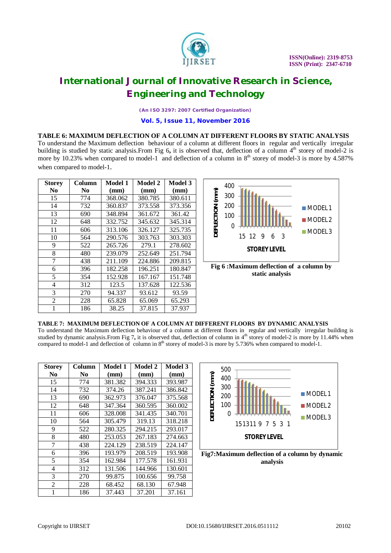

*(An ISO 3297: 2007 Certified Organization)*

**Vol. 5, Issue 11, November 2016**

#### **TABLE 6: MAXIMUM DEFLECTION OF A COLUMN AT DIFFERENT FLOORS BY STATIC ANALYSIS**

To understand the Maximum deflection behaviour of a column at different floors in regular and vertically irregular building is studied by static analysis.From Fig 6, it is observed that, deflection of a column 4<sup>th</sup> storey of model-2 is more by 10.23% when compared to model-1 and deflection of a column in  $8<sup>th</sup>$  storey of model-3 is more by 4.587% when compared to model-1.

| <b>Storey</b>  | Column | Model 1 | Model 2 | Model 3 |
|----------------|--------|---------|---------|---------|
| N <sub>0</sub> | N0     | (mm)    | (mm)    | (mm)    |
| 15             | 774    | 368.062 | 380.785 | 380.611 |
| 14             | 732    | 360.837 | 373.558 | 373.356 |
| 13             | 690    | 348.894 | 361.672 | 361.42  |
| 12             | 648    | 332.752 | 345.632 | 345.314 |
| 11             | 606    | 313.106 | 326.127 | 325.735 |
| 10             | 564    | 290.576 | 303.763 | 303.303 |
| 9              | 522    | 265.726 | 279.1   | 278.602 |
| 8              | 480    | 239.079 | 252.649 | 251.794 |
| 7              | 438    | 211.109 | 224.886 | 209.815 |
| 6              | 396    | 182.258 | 196.251 | 180.847 |
| 5              | 354    | 152.928 | 167.167 | 151.748 |
| 4              | 312    | 123.5   | 137.628 | 122.536 |
| 3              | 270    | 94.337  | 93.612  | 93.59   |
| 2              | 228    | 65.828  | 65.069  | 65.293  |
| 1              | 186    | 38.25   | 37.815  | 37.937  |



**static analysis**

#### **TABLE 7: MAXIMUM DEFLECTION OF A COLUMN AT DIFFERENT FLOORS BY DYNAMIC ANALYSIS**

To understand the Maximum deflection behaviour of a column at different floors in regular and vertically irregular building is studied by dynamic analysis.From Fig 7, it is observed that, deflection of column in 4<sup>th</sup> storey of model-2 is more by 11.44% when compared to model-1 and deflection of column in 8<sup>th</sup> storey of model-3 is more by 5.736% when compared to model-1.

| <b>Storey</b>  | Column | Model 1 | Model 2 | Model 3 |
|----------------|--------|---------|---------|---------|
| N <sub>0</sub> | No.    | (mm)    | (mm)    | (mm)    |
| 15             | 774    | 381.382 | 394.333 | 393.987 |
| 14             | 732    | 374.26  | 387.241 | 386.842 |
| 13             | 690    | 362.973 | 376.047 | 375.568 |
| 12             | 648    | 347.364 | 360.595 | 360.002 |
| 11             | 606    | 328,008 | 341.435 | 340.701 |
| 10             | 564    | 305.479 | 319.13  | 318.218 |
| 9              | 522    | 280.325 | 294.215 | 293.017 |
| 8              | 480    | 253.053 | 267.183 | 274.663 |
| 7              | 438    | 224.129 | 238.519 | 224.147 |
| 6              | 396    | 193.979 | 208.519 | 193.908 |
| 5              | 354    | 162.984 | 177.578 | 161.931 |
| 4              | 312    | 131.506 | 144.966 | 130.601 |
| 3              | 270    | 99.875  | 100.656 | 99.758  |
| $\overline{c}$ | 228    | 68.452  | 68.130  | 67.948  |
|                | 186    | 37.443  | 37.201  | 37.161  |



**Fig7:Maximum deflection of a column by dynamic analysis**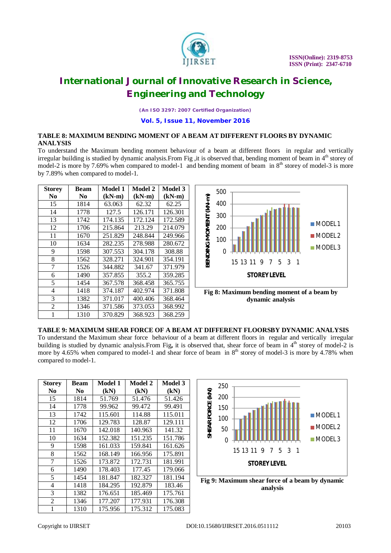

*(An ISO 3297: 2007 Certified Organization)*

#### **Vol. 5, Issue 11, November 2016**

# **TABLE 8: MAXIMUM BENDING MOMENT OF A BEAM AT DIFFERENT FLOORS BY DYNAMIC ANALYSIS**

To understand the Maximum bending moment behaviour of a beam at different floors in regular and vertically irregular building is studied by dynamic analysis. From Fig , it is observed that, bending moment of beam in  $4<sup>th</sup>$  storey of model-2 is more by 7.69% when compared to model-1 and bending moment of beam in  $8<sup>th</sup>$  storey of model-3 is more by 7.89% when compared to model-1.

| <b>Storey</b>  | Beam | Model 1  | Model 2  | Model 3  |
|----------------|------|----------|----------|----------|
| No             | No   | $(kN-m)$ | $(kN-m)$ | $(kN-m)$ |
| 15             | 1814 | 63.063   | 62.32    | 62.25    |
| 14             | 1778 | 127.5    | 126.171  | 126.301  |
| 13             | 1742 | 174.135  | 172.124  | 172.589  |
| 12             | 1706 | 215.864  | 213.29   | 214.079  |
| 11             | 1670 | 251.829  | 248.844  | 249.966  |
| 10             | 1634 | 282.235  | 278.988  | 280.672  |
| 9              | 1598 | 307.553  | 304.178  | 308.88   |
| 8              | 1562 | 328.271  | 324.901  | 354.191  |
| 7              | 1526 | 344.882  | 341.67   | 371.979  |
| 6              | 1490 | 357.855  | 355.2    | 359.285  |
| 5              | 1454 | 367.578  | 368.458  | 365.755  |
| 4              | 1418 | 374.187  | 402.974  | 371.808  |
| 3              | 1382 | 371.017  | 400.406  | 368.464  |
| $\overline{c}$ | 1346 | 371.586  | 373.053  | 368.992  |
| 1              | 1310 | 370.829  | 368.923  | 368.259  |



**Fig 8: Maximum bending moment of a beam by dynamic analysis**

**TABLE 9: MAXIMUM SHEAR FORCE OF A BEAM AT DIFFERENT FLOORSBY DYNAMIC ANALYSIS**

To understand the Maximum shear force behaviour of a beam at different floors in regular and vertically irregular building is studied by dynamic analysis.From Fig, it is observed that, shear force of beam in 4<sup>th</sup> storey of model-2 is more by 4.65% when compared to model-1 and shear force of beam in 8<sup>th</sup> storey of model-3 is more by 4.78% when compared to model-1.

| <b>Storey</b>  | <b>Beam</b> | Model 1 | Model 2 | Model 3 |
|----------------|-------------|---------|---------|---------|
| N <sub>0</sub> | No.         | (kN)    | (kN)    | (kN)    |
| 15             | 1814        | 51.769  | 51.476  | 51.426  |
| 14             | 1778        | 99.962  | 99.472  | 99.491  |
| 13             | 1742        | 115.601 | 114.88  | 115.011 |
| 12             | 1706        | 129.783 | 128.87  | 129.111 |
| 11             | 1670        | 142.018 | 140.963 | 141.32  |
| 10             | 1634        | 152.382 | 151.235 | 151.786 |
| 9              | 1598        | 161.033 | 159.841 | 161.626 |
| 8              | 1562        | 168.149 | 166.956 | 175.891 |
| 7              | 1526        | 173.872 | 172.731 | 181.991 |
| 6              | 1490        | 178.403 | 177.45  | 179.066 |
| 5              | 1454        | 181.847 | 182.327 | 181.194 |
| $\overline{4}$ | 1418        | 184.295 | 192.879 | 183.46  |
| 3              | 1382        | 176.651 | 185.469 | 175.761 |
| 2              | 1346        | 177.207 | 177.931 | 176.308 |
| 1              | 1310        | 175.956 | 175.312 | 175.083 |



**Fig 9: Maximum shear force of a beam by dynamic analysis**